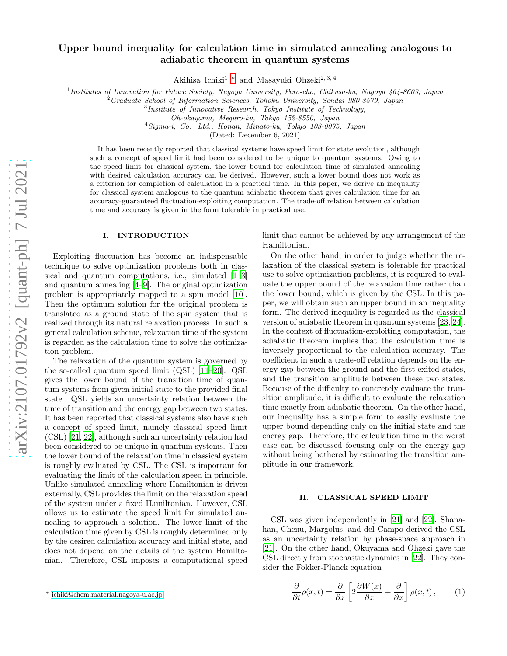# Upper bound inequality for calculation time in simulated annealing analogous to adiabatic theorem in quantum systems

Akihisa Ichiki<sup>1,\*</sup> and Masayuki Ohzeki<sup>2,3,4</sup>

<sup>1</sup> Institutes of Innovation for Future Society, Nagoya University, Furo-cho, Chikusa-ku, Nagoya 464-8603, Japan

<sup>2</sup>Graduate School of Information Sciences, Tohoku University, Sendai 980-8579, Japan

3 Institute of Innovative Research, Tokyo Institute of Technology,

<sup>4</sup>Sigma-i, Co. Ltd., Konan, Minato-ku, Tokyo 108-0075, Japan

(Dated: December 6, 2021)

It has been recently reported that classical systems have speed limit for state evolution, although such a concept of speed limit had been considered to be unique to quantum systems. Owing to the speed limit for classical system, the lower bound for calculation time of simulated annealing with desired calculation accuracy can be derived. However, such a lower bound does not work as a criterion for completion of calculation in a practical time. In this paper, we derive an inequality for classical system analogous to the quantum adiabatic theorem that gives calculation time for an accuracy-guaranteed fluctuation-exploiting computation. The trade-off relation between calculation time and accuracy is given in the form tolerable in practical use.

#### I. INTRODUCTION

Exploiting fluctuation has become an indispensable technique to solve optimization problems both in classical and quantum computations, i.e., simulated [\[1](#page-3-0)[–3](#page-3-1)] and quantum annealing [\[4](#page-3-2)[–9\]](#page-3-3). The original optimization problem is appropriately mapped to a spin model [10]. Then the optimum solution for the original problem is translated as a ground state of the spin system that is realized through its natural relaxation process. In such a general calculation scheme, relaxation time of the system is regarded as the calculation time to solve the optimization problem.

The relaxation of the quantum system is governed by the so-called quantum speed limit (QSL) [\[11–](#page-3-4)[20\]](#page-4-0). QSL gives the lower bound of the transition time of quantum systems from given initial state to the provided final state. QSL yields an uncertainty relation between the time of transition and the energy gap between two states. It has been reported that classical systems also have such a concept of speed limit, namely classical speed limit (CSL) [\[21](#page-4-1), [22](#page-4-2)], although such an uncertainty relation had been considered to be unique in quantum systems. Then the lower bound of the relaxation time in classical system is roughly evaluated by CSL. The CSL is important for evaluating the limit of the calculation speed in principle. Unlike simulated annealing where Hamiltonian is driven externally, CSL provides the limit on the relaxation speed of the system under a fixed Hamiltonian. However, CSL allows us to estimate the speed limit for simulated annealing to approach a solution. The lower limit of the calculation time given by CSL is roughly determined only by the desired calculation accuracy and initial state, and does not depend on the details of the system Hamiltonian. Therefore, CSL imposes a computational speed

limit that cannot be achieved by any arrangement of the Hamiltonian.

On the other hand, in order to judge whether the relaxation of the classical system is tolerable for practical use to solve optimization problems, it is required to evaluate the upper bound of the relaxation time rather than the lower bound, which is given by the CSL. In this paper, we will obtain such an upper bound in an inequality form. The derived inequality is regarded as the classical version of adiabatic theorem in quantum systems [\[23](#page-4-3), [24\]](#page-4-4). In the context of fluctuation-exploiting computation, the adiabatic theorem implies that the calculation time is inversely proportional to the calculation accuracy. The coefficient in such a trade-off relation depends on the energy gap between the ground and the first exited states, and the transition amplitude between these two states. Because of the difficulty to concretely evaluate the transition amplitude, it is difficult to evaluate the relaxation time exactly from adiabatic theorem. On the other hand, our inequality has a simple form to easily evaluate the upper bound depending only on the initial state and the energy gap. Therefore, the calculation time in the worst case can be discussed focusing only on the energy gap without being bothered by estimating the transition amplitude in our framework.

## II. CLASSICAL SPEED LIMIT

CSL was given independently in [\[21\]](#page-4-1) and [\[22\]](#page-4-2). Shanahan, Chenu, Margolus, and del Campo derived the CSL as an uncertainty relation by phase-space approach in [\[21\]](#page-4-1). On the other hand, Okuyama and Ohzeki gave the CSL directly from stochastic dynamics in [\[22](#page-4-2)]. They consider the Fokker-Planck equation

$$
\frac{\partial}{\partial t}\rho(x,t) = \frac{\partial}{\partial x}\left[2\frac{\partial W(x)}{\partial x} + \frac{\partial}{\partial x}\right]\rho(x,t),\qquad(1)
$$

Oh-okayama, Meguro-ku, Tokyo 152-8550, Japan

<span id="page-0-0"></span><sup>∗</sup> [ichiki@chem.material.nagoya-u.ac.jp](mailto:ichiki@chem.material.nagoya-u.ac.jp)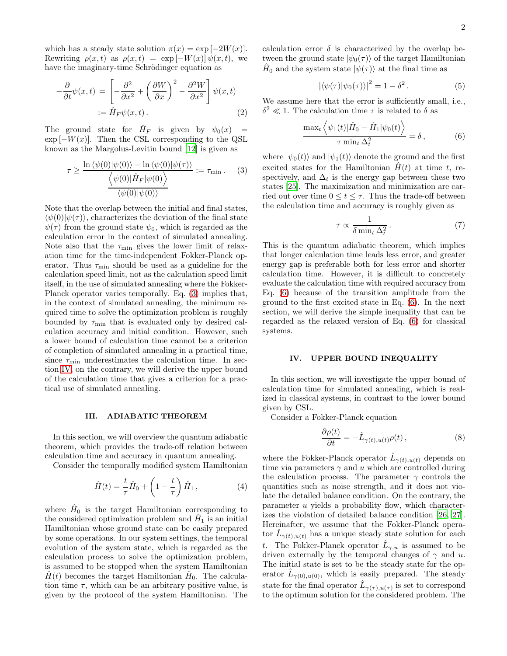which has a steady state solution  $\pi(x) = \exp[-2W(x)].$ Rewriting  $\rho(x, t)$  as  $\rho(x, t) = \exp[-W(x)] \psi(x, t)$ , we have the imaginary-time Schrödinger equation as

$$
-\frac{\partial}{\partial t}\psi(x,t) = \left[-\frac{\partial^2}{\partial x^2} + \left(\frac{\partial W}{\partial x}\right)^2 - \frac{\partial^2 W}{\partial x^2}\right]\psi(x,t)
$$
  
 :=  $\hat{H}_F \psi(x,t)$ . (2)

The ground state for  $\hat{H}_F$  is given by  $\psi_0(x) =$  $\exp[-W(x)]$ . Then the CSL corresponding to the QSL known as the Margolus-Levitin bound [\[12](#page-4-5)] is given as

<span id="page-1-0"></span>
$$
\tau \ge \frac{\ln \langle \psi(0) | \psi(0) \rangle - \ln \langle \psi(0) | \psi(\tau) \rangle}{\langle \psi(0) | \hat{H}_F | \psi(0) \rangle} := \tau_{\min}.
$$
 (3)  

$$
\frac{\langle \psi(0) | \hat{H}_F | \psi(0) \rangle}{\langle \psi(0) | \psi(0) \rangle}
$$

Note that the overlap between the initial and final states,  $\langle \psi(0)|\psi(\tau)\rangle$ , characterizes the deviation of the final state  $\psi(\tau)$  from the ground state  $\psi_0$ , which is regarded as the calculation error in the context of simulated annealing. Note also that the  $\tau_{\text{min}}$  gives the lower limit of relaxation time for the time-independent Fokker-Planck operator. Thus  $\tau_{\min}$  should be used as a guideline for the calculation speed limit, not as the calculation speed limit itself, in the use of simulated annealing where the Fokker-Planck operator varies temporally. Eq. [\(3\)](#page-1-0) implies that, in the context of simulated annealing, the minimum required time to solve the optimization problem is roughly bounded by  $\tau_{\min}$  that is evaluated only by desired calculation accuracy and initial condition. However, such a lower bound of calculation time cannot be a criterion of completion of simulated annealing in a practical time, since  $\tau_{\min}$  underestimates the calculation time. In section [IV,](#page-1-1) on the contrary, we will derive the upper bound of the calculation time that gives a criterion for a practical use of simulated annealing.

## III. ADIABATIC THEOREM

In this section, we will overview the quantum adiabatic theorem, which provides the trade-off relation between calculation time and accuracy in quantum annealing.

Consider the temporally modified system Hamiltonian

$$
\hat{H}(t) = \frac{t}{\tau}\hat{H}_0 + \left(1 - \frac{t}{\tau}\right)\hat{H}_1, \qquad (4)
$$

where  $\hat{H}_0$  is the target Hamiltonian corresponding to the considered optimization problem and  $\hat{H}_1$  is an initial Hamiltonian whose ground state can be easily prepared by some operations. In our system settings, the temporal evolution of the system state, which is regarded as the calculation process to solve the optimization problem, is assumed to be stopped when the system Hamiltonian  $\hat{H}(t)$  becomes the target Hamiltonian  $\hat{H}_0$ . The calculation time  $\tau$ , which can be an arbitrary positive value, is given by the protocol of the system Hamiltonian. The

calculation error  $\delta$  is characterized by the overlap between the ground state  $|\psi_0(\tau)\rangle$  of the target Hamiltonian  $\hat{H}_0$  and the system state  $|\psi(\tau)\rangle$  at the final time as

$$
|\langle \psi(\tau) | \psi_0(\tau) \rangle|^2 = 1 - \delta^2. \tag{5}
$$

We assume here that the error is sufficiently small, i.e.,  $\delta^2 \ll 1$ . The calculation time  $\tau$  is related to  $\delta$  as

<span id="page-1-2"></span>
$$
\frac{\max_t \left\langle \psi_1(t) | \hat{H}_0 - \hat{H}_1 | \psi_0(t) \right\rangle}{\tau \min_t \Delta_t^2} = \delta, \qquad (6)
$$

where  $|\psi_0(t)\rangle$  and  $|\psi_1(t)\rangle$  denote the ground and the first excited states for the Hamiltonian  $H(t)$  at time t, respectively, and  $\Delta_t$  is the energy gap between these two states [25]. The maximization and minimization are carried out over time  $0 \le t \le \tau$ . Thus the trade-off between the calculation time and accuracy is roughly given as

$$
\tau \propto \frac{1}{\delta \min_t \Delta_t^2} \,. \tag{7}
$$

This is the quantum adiabatic theorem, which implies that longer calculation time leads less error, and greater energy gap is preferable both for less error and shorter calculation time. However, it is difficult to concretely evaluate the calculation time with required accuracy from Eq. [\(6\)](#page-1-2) because of the transition amplitude from the ground to the first excited state in Eq. [\(6\)](#page-1-2). In the next section, we will derive the simple inequality that can be regarded as the relaxed version of Eq. [\(6\)](#page-1-2) for classical systems.

#### <span id="page-1-1"></span>IV. UPPER BOUND INEQUALITY

In this section, we will investigate the upper bound of calculation time for simulated annealing, which is realized in classical systems, in contrast to the lower bound given by CSL.

Consider a Fokker-Planck equation

<span id="page-1-3"></span>
$$
\frac{\partial \rho(t)}{\partial t} = -\hat{L}_{\gamma(t), u(t)} \rho(t) , \qquad (8)
$$

where the Fokker-Planck operator  $\hat{L}_{\gamma(t),u(t)}$  depends on time via parameters  $\gamma$  and u which are controlled during the calculation process. The parameter  $\gamma$  controls the quantities such as noise strength, and it does not violate the detailed balance condition. On the contrary, the parameter u yields a probability flow, which characterizes the violation of detailed balance condition [\[26,](#page-4-6) [27\]](#page-4-7). Hereinafter, we assume that the Fokker-Planck operator  $\hat{L}_{\gamma(t),u(t)}$  has a unique steady state solution for each t. The Fokker-Planck operator  $\hat{L}_{\gamma,u}$  is assumed to be driven externally by the temporal changes of  $\gamma$  and u. The initial state is set to be the steady state for the operator  $\hat{L}_{\gamma(0),u(0)}$ , which is easily prepared. The steady state for the final operator  $\hat{L}_{\gamma(\tau),u(\tau)}$  is set to correspond to the optimum solution for the considered problem. The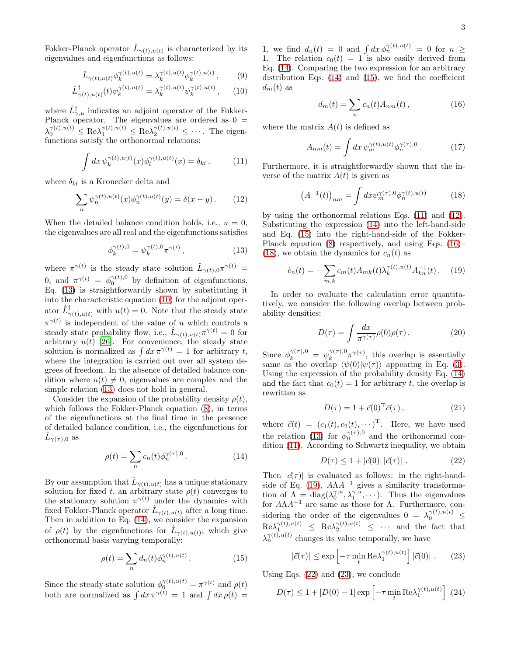Fokker-Planck operator  $\hat{L}_{\gamma(t),u(t)}$  is characterized by its eigenvalues and eigenfunctions as follows:

<span id="page-2-1"></span>
$$
\hat{L}_{\gamma(t),u(t)} \phi_k^{\gamma(t),u(t)} = \lambda_k^{\gamma(t),u(t)} \phi_k^{\gamma(t),u(t)}, \qquad (9)
$$

$$
\hat{L}_{\gamma(t),u(t)}^{\dagger}(t)\psi_k^{\gamma(t),u(t)} = \lambda_k^{\gamma(t),u(t)}\psi_k^{\gamma(t),u(t)},\qquad(10)
$$

where  $\hat{L}_{\gamma,u}^{\dagger}$  indicates an adjoint operator of the Fokker-Planck operator. The eigenvalues are ordered as 0 =  $\lambda_0^{\gamma(t),u(t)} \leq \text{Re}\lambda_1^{\gamma(t),u(t)} \leq \text{Re}\lambda_2^{\gamma(t),u(t)} \leq \cdots$ . The eigenfunctions satisfy the orthonormal relations:

<span id="page-2-4"></span>
$$
\int dx \, \psi_k^{\gamma(t),u(t)}(x) \phi_l^{\gamma(t),u(t)}(x) = \delta_{kl} \,, \tag{11}
$$

where  $\delta_{kl}$  is a Kronecker delta and

<span id="page-2-5"></span>
$$
\sum_{n} \psi_n^{\gamma(t),u(t)}(x)\phi_n^{\gamma(t),u(t)}(y) = \delta(x-y). \tag{12}
$$

When the detailed balance condition holds, i.e.,  $u = 0$ , the eigenvalues are all real and the eigenfunctions satisfies

<span id="page-2-0"></span>
$$
\phi_k^{\gamma(t),0} = \psi_k^{\gamma(t),0} \pi^{\gamma(t)}, \qquad (13)
$$

where  $\pi^{\gamma(t)}$  is the steady state solution  $\hat{L}_{\gamma(t),0} \pi^{\gamma(t)} =$ 0, and  $\pi^{\gamma(t)} = \phi_0^{\gamma(t),0}$  by definition of eigenfunctions. Eq. [\(13\)](#page-2-0) is straightforwardly shown by substituting it into the characteristic equation [\(10\)](#page-2-1) for the adjoint operator  $\hat{L}^{\dagger}_{\gamma(t),u(t)}$  with  $u(t) = 0$ . Note that the steady state  $\pi^{\gamma(t)}$  is independent of the value of u which controls a steady state probability flow, i.e.,  $\hat{L}_{\gamma(t),u(t)}\pi^{\gamma(t)}=0$  for arbitrary  $u(t)$  [\[26\]](#page-4-6). For convenience, the steady state solution is normalized as  $\int dx \,\pi^{\gamma(t)} = 1$  for arbitrary t, where the integration is carried out over all system degrees of freedom. In the absence of detailed balance condition where  $u(t) \neq 0$ , eigenvalues are complex and the simple relation [\(13\)](#page-2-0) does not hold in general.

Consider the expansion of the probability density  $\rho(t)$ , which follows the Fokker-Planck equation [\(8\)](#page-1-3), in terms of the eigenfunctions at the final time in the presence of detailed balance condition, i.e., the eigenfunctions for  $\hat{L}_{\gamma(\tau),0}$  as

<span id="page-2-2"></span>
$$
\rho(t) = \sum_{n} c_n(t) \phi_n^{\gamma(\tau),0}.
$$
\n(14)

By our assumption that  $\hat{L}_{\gamma(t),u(t)}$  has a unique stationary solution for fixed t, an arbitrary state  $\rho(t)$  converges to the stationary solution  $\pi^{\gamma(t)}$  under the dynamics with fixed Fokker-Planck operator  $\hat{L}_{\gamma(t),u(t)}$  after a long time. Then in addition to Eq. [\(14\)](#page-2-2), we consider the expansion of  $\rho(t)$  by the eigenfunctions for  $\hat{L}_{\gamma(t),u(t)}$ , which give orthonormal basis varying temporally:

<span id="page-2-3"></span>
$$
\rho(t) = \sum_{n} d_n(t) \phi_n^{\gamma(t), u(t)}.
$$
\n(15)

Since the steady state solution  $\phi_0^{\gamma(t),u(t)} = \pi^{\gamma(t)}$  and  $\rho(t)$ both are normalized as  $\int dx \,\pi^{\gamma(t)} = 1$  and  $\int dx \,\rho(t) =$ 

1, we find  $d_n(t) = 0$  and  $\int dx \phi_n^{\gamma(t),u(t)} = 0$  for  $n \geq$ 1. The relation  $c_0(t) = 1$  is also easily derived from Eq. [\(14\)](#page-2-2). Comparing the two expression for an arbitrary distribution Eqs.  $(14)$  and  $(15)$ , we find the coefficient  $d_m(t)$  as

<span id="page-2-6"></span>
$$
d_m(t) = \sum_n c_n(t) A_{nm}(t) , \qquad (16)
$$

where the matrix  $A(t)$  is defined as

$$
A_{nm}(t) = \int dx \, \psi_m^{\gamma(t),u(t)} \phi_n^{\gamma(\tau),0} \,. \tag{17}
$$

Furthermore, it is straightforwardly shown that the inverse of the matrix  $A(t)$  is given as

<span id="page-2-7"></span>
$$
\left(A^{-1}(t)\right)_{nm} = \int dx \psi_m^{\gamma(\tau),0} \phi_n^{\gamma(t),u(t)} \tag{18}
$$

by using the orthonormal relations Eqs. [\(11\)](#page-2-4) and [\(12\)](#page-2-5). Substituting the expression [\(14\)](#page-2-2) into the left-hand-side and Eq. [\(15\)](#page-2-3) into the right-hand-side of the Fokker-Planck equation [\(8\)](#page-1-3) respectively, and using Eqs. [\(16\)](#page-2-6)– [\(18\)](#page-2-7), we obtain the dynamics for  $c_n(t)$  as

<span id="page-2-8"></span>
$$
\dot{c}_n(t) = -\sum_{m,k} c_m(t) A_{mk}(t) \lambda_k^{\gamma(t), u(t)} A_{kn}^{-1}(t). \tag{19}
$$

In order to evaluate the calculation error quantitatively, we consider the following overlap between probability densities:

$$
D(\tau) = \int \frac{dx}{\pi^{\gamma(\tau)}} \rho(0)\rho(\tau). \tag{20}
$$

Since  $\phi_k^{\gamma(\tau),0} = \psi_k^{\gamma(\tau),0}$  $\int_{k}^{\gamma(\tau),0}\pi^{\gamma(\tau)}$ , this overlap is essentially same as the overlap  $\langle \psi(0)|\psi(\tau)\rangle$  appearing in Eq. [\(3\)](#page-1-0). Using the expression of the probability density Eq. [\(14\)](#page-2-2) and the fact that  $c_0(t) = 1$  for arbitrary t, the overlap is rewritten as

$$
D(\tau) = 1 + \vec{c}(0)^{\text{T}} \vec{c}(\tau), \qquad (21)
$$

where  $\vec{c}(t) = (c_1(t), c_2(t), \cdots)^{\mathrm{T}}$ . Here, we have used the relation [\(13\)](#page-2-0) for  $\phi_n^{\gamma(\tau),0}$  and the orthonormal condition [\(11\)](#page-2-4). According to Schwartz inequality, we obtain

<span id="page-2-9"></span>
$$
D(\tau) \le 1 + |\vec{c}(0)| |\vec{c}(\tau)| . \tag{22}
$$

Then  $|\vec{c}(\tau)|$  is evaluated as follows: in the right-hand-side of Eq. [\(19\)](#page-2-8),  $A\Lambda A^{-1}$  gives a similarity transformation of  $\Lambda = diag(\lambda_0^{\gamma,u}, \lambda_1^{\gamma,u}, \cdots)$ . Thus the eigenvalues for  $A\Lambda A^{-1}$  are same as those for  $\Lambda$ . Furthermore, considering the order of the eigenvalues  $0 = \lambda_0^{\gamma(t),u(t)} \leq$  $\text{Re}\lambda_1^{\gamma(t),u(t)} \leq \text{Re}\lambda_2^{\gamma(t),u(t)} \leq \cdots$  and the fact that  $\lambda_n^{\gamma(t),u(t)}$  changes its value temporally, we have

<span id="page-2-10"></span>
$$
|\vec{c}(\tau)| \le \exp\left[-\tau \min_{t} \text{Re}\lambda_1^{\gamma(t), u(t)}\right] |\vec{c}(0)|. \qquad (23)
$$

Using Eqs. [\(22\)](#page-2-9) and [\(23\)](#page-2-10), we conclude

$$
D(\tau) \le 1 + [D(0) - 1] \exp\left[-\tau \min_{t} \text{Re}\lambda_1^{\gamma(t), u(t)}\right]. (24)
$$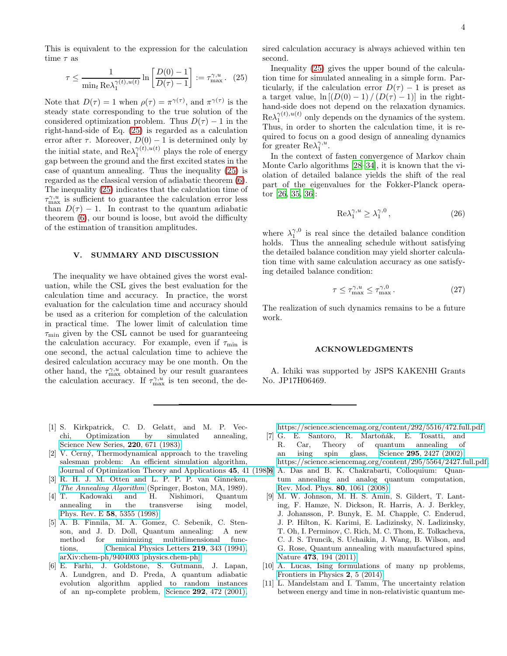This is equivalent to the expression for the calculation time  $\tau$  as

<span id="page-3-5"></span>
$$
\tau \le \frac{1}{\min_t \text{Re}\lambda_1^{\gamma(t),u(t)}} \ln \left[ \frac{D(0)-1}{D(\tau)-1} \right] := \tau_{\text{max}}^{\gamma,u}.
$$
 (25)

Note that  $D(\tau) = 1$  when  $\rho(\tau) = \pi^{\gamma(\tau)}$ , and  $\pi^{\gamma(\tau)}$  is the steady state corresponding to the true solution of the considered optimization problem. Thus  $D(\tau) - 1$  in the right-hand-side of Eq. [\(25\)](#page-3-5) is regarded as a calculation error after  $\tau$ . Moreover,  $D(0) - 1$  is determined only by the initial state, and  $\text{Re}\lambda_1^{\gamma(t),u(t)}$  plays the role of energy gap between the ground and the first excited states in the case of quantum annealing. Thus the inequality [\(25\)](#page-3-5) is regarded as the classical version of adiabatic theorem [\(6\)](#page-1-2). The inequality [\(25\)](#page-3-5) indicates that the calculation time of  $\tau_{\text{max}}^{\gamma,u}$  is sufficient to guarantee the calculation error less than  $D(\tau) - 1$ . In contrast to the quantum adiabatic theorem [\(6\)](#page-1-2), our bound is loose, but avoid the difficulty of the estimation of transition amplitudes.

## V. SUMMARY AND DISCUSSION

The inequality we have obtained gives the worst evaluation, while the CSL gives the best evaluation for the calculation time and accuracy. In practice, the worst evaluation for the calculation time and accuracy should be used as a criterion for completion of the calculation in practical time. The lower limit of calculation time  $\tau_{\rm min}$  given by the CSL cannot be used for guaranteeing the calculation accuracy. For example, even if  $\tau_{\min}$  is one second, the actual calculation time to achieve the desired calculation accuracy may be one month. On the other hand, the  $\tau_{\text{max}}^{\gamma,u}$  obtained by our result guarantees the calculation accuracy. If  $\tau_{\text{max}}^{\gamma,u}$  is ten second, the desired calculation accuracy is always achieved within ten second.

Inequality [\(25\)](#page-3-5) gives the upper bound of the calculation time for simulated annealing in a simple form. Particularly, if the calculation error  $D(\tau) - 1$  is preset as a target value,  $\ln [(D(0) - 1)/(D(\tau) - 1)]$  in the righthand-side does not depend on the relaxation dynamics.  $\text{Re}\lambda_1^{\gamma(t),u(t)}$  only depends on the dynamics of the system. Thus, in order to shorten the calculation time, it is required to focus on a good design of annealing dynamics for greater  $\text{Re}\lambda_1^{\gamma, u}$ .

In the context of fasten convergence of Markov chain Monte Carlo algorithms [\[28](#page-4-8)–34], it is known that the violation of detailed balance yields the shift of the real part of the eigenvalues for the Fokker-Planck operator [\[26,](#page-4-6) [35,](#page-4-9) [36\]](#page-4-10):

$$
\text{Re}\lambda_1^{\gamma, u} \ge \lambda_1^{\gamma, 0},\tag{26}
$$

where  $\lambda_1^{\gamma,0}$  is real since the detailed balance condition holds. Thus the annealing schedule without satisfying the detailed balance condition may yield shorter calculation time with same calculation accuracy as one satisfying detailed balance condition:

$$
\tau \le \tau_{\text{max}}^{\gamma, u} \le \tau_{\text{max}}^{\gamma, 0} . \tag{27}
$$

The realization of such dynamics remains to be a future work.

#### ACKNOWLEDGMENTS

A. Ichiki was supported by JSPS KAKENHI Grants No. JP17H06469.

- <span id="page-3-0"></span>[1] S. Kirkpatrick, C. D. Gelatt, and M. P. Vecchi, Optimization by simulated annealing, [Science New Series,](https://doi.org/10.1126/science.220.4598.671) 220, 671 (1983).
- [2] V. Cerný, Thermodynamical approach to the traveling salesman problem: An efficient simulation algorithm, [Journal of Optimization Theory and Applications](https://doi.org/10.1007/BF00940812) 45, 41
- <span id="page-3-1"></span>[3] R. H. J. M. Otten and L. P. P. P. van Ginneken, [The Annealing Algorithm](https://doi.org/10.1007/978-1-4613-1627-5) (Springer, Boston, MA, 1989).
- <span id="page-3-2"></span>[4] T. Kadowaki and H. Nishimori, Quantum annealing in the transverse ising model, Phys. Rev. E 58[, 5355 \(1998\).](https://doi.org/10.1103/PhysRevE.58.5355)
- [5] A. B. Finnila, M. A. Gomez, C. Sebenik, C. Stenson, and J. D. Doll, Quantum annealing: A new method for minimizing multidimensional functions, [Chemical Physics Letters](https://doi.org/10.1016/0009-2614(94)00117-0) 219, 343 (1994), [arXiv:chem-ph/9404003 \[physics.chem-ph\].](https://arxiv.org/abs/chem-ph/9404003)
- [6] E. Farhi, J. Goldstone, S. Gutmann, J. Lapan, A. Lundgren, and D. Preda, A quantum adiabatic evolution algorithm applied to random instances of an np-complete problem, Science 292[, 472 \(2001\),](https://doi.org/10.1126/science.1057726)

[https://science.sciencemag.org/content/292/5516/472.full.pdf.](https://arxiv.org/abs/https://science.sciencemag.org/content/292/5516/472.full.pdf)

- [7] G. E. Santoro, R. Martoňák, E. Tosatti, and R. Car, Theory of quantum annealing of an ising spin glass, Science 295[, 2427 \(2002\),](https://doi.org/10.1126/science.1068774) [https://science.sciencemag.org/content/295/5564/2427.full.pdf.](https://arxiv.org/abs/https://science.sciencemag.org/content/295/5564/2427.full.pdf)
- <span id="page-3-4"></span><span id="page-3-3"></span>[8] A. Das and B. K. Chakrabarti, Colloquium: Quantum annealing and analog quantum computation, [Rev. Mod. Phys.](https://doi.org/10.1103/RevModPhys.80.1061) 80, 1061 (2008).
	- [9] M. W. Johnson, M. H. S. Amin, S. Gildert, T. Lanting, F. Hamze, N. Dickson, R. Harris, A. J. Berkley, J. Johansson, P. Bunyk, E. M. Chapple, C. Enderud, J. P. Hilton, K. Karimi, E. Ladizinsky, N. Ladizinsky, T. Oh, I. Perminov, C. Rich, M. C. Thom, E. Tolkacheva, C. J. S. Truncik, S. Uchaikin, J. Wang, B. Wilson, and G. Rose, Quantum annealing with manufactured spins, Nature 473[, 194 \(2011\).](https://doi.org/10.1038/nature10012)
	- [10] A. Lucas, Ising formulations of many np problems, [Frontiers in Physics](https://doi.org/10.3389/fphy.2014.00005) 2, 5 (2014).
	- [11] L. Mandelstam and I. Tamm, The uncertainty relation between energy and time in non-relativistic quantum me-